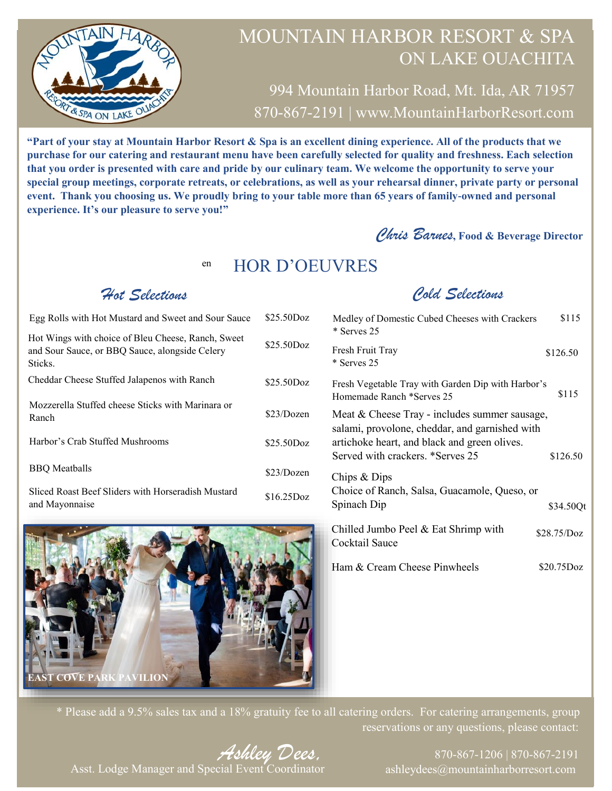

994 Mountain Harbor Road, Mt. Ida, AR 71957 870-867-2191 | www.MountainHarborResort.com

**"Part of your stay at Mountain Harbor Resort & Spa is an excellent dining experience. All of the products that we purchase for our catering and restaurant menu have been carefully selected for quality and freshness. Each selection that you order is presented with care and pride by our culinary team. We welcome the opportunity to serve your special group meetings, corporate retreats, or celebrations, as well as your rehearsal dinner, private party or personal event. Thank you choosing us. We proudly bring to your table more than 65 years of family-owned and personal experience. It's our pleasure to serve you!"**

#### *Chris Barnes***, Food & Beverage Director**

#### en HOR D'OEUVRES

#### *Hot Selections*

| Egg Rolls with Hot Mustard and Sweet and Sour Sauce                                                             | \$25.50Doz   |
|-----------------------------------------------------------------------------------------------------------------|--------------|
| Hot Wings with choice of Bleu Cheese, Ranch, Sweet<br>and Sour Sauce, or BBQ Sauce, alongside Celery<br>Sticks. | \$25.50Doz   |
| Cheddar Cheese Stuffed Jalapenos with Ranch                                                                     | \$25.50Doz   |
| Mozzerella Stuffed cheese Sticks with Marinara or<br>Ranch                                                      | \$23/Dozen   |
| Harbor's Crab Stuffed Mushrooms                                                                                 | \$25.50Doz   |
| <b>BBQ</b> Meatballs                                                                                            | \$23/Dozen   |
| Sliced Roast Beef Sliders with Horseradish Mustard<br>and Mayonnaise                                            | $$16.25$ Doz |



#### *Cold Selections*

| Medley of Domestic Cubed Cheeses with Crackers<br>* Serves 25                                                                                                                       | \$115       |
|-------------------------------------------------------------------------------------------------------------------------------------------------------------------------------------|-------------|
| Fresh Fruit Tray<br>* Serves 25                                                                                                                                                     | \$126.50    |
| Fresh Vegetable Tray with Garden Dip with Harbor's<br>Homemade Ranch *Serves 25                                                                                                     | \$115       |
| Meat & Cheese Tray - includes summer sausage,<br>salami, provolone, cheddar, and garnished with<br>artichoke heart, and black and green olives.<br>Served with crackers. *Serves 25 | \$126.50    |
| Chips & Dips<br>Choice of Ranch, Salsa, Guacamole, Queso, or<br>Spinach Dip                                                                                                         | \$34.50Qt   |
| Chilled Jumbo Peel $&$ Eat Shrimp with<br>Cocktail Sauce                                                                                                                            | \$28.75/Doz |
| Ham & Cream Cheese Pinwheels                                                                                                                                                        | \$20.75Doz  |

\* Please add a 9.5% sales tax and a 18% gratuity fee to all catering orders. For catering arrangements, group reservations or any questions, please contact:

*Ashley Dees,* Asst. Lodge Manager and Special Event Coordinator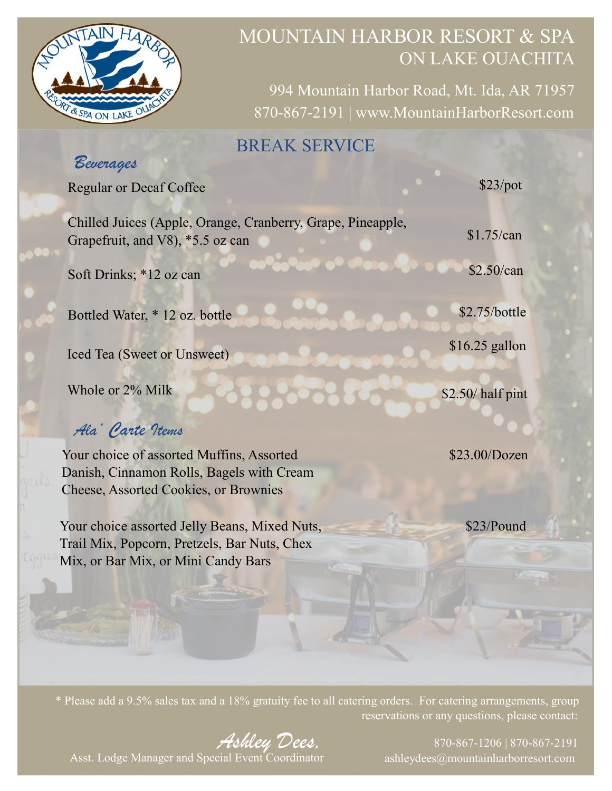

994 Mountain Harbor Road, Mt. Ida, AR 71957 870-867-2191 | www.MountainHarborResort.com

## BREAK SERVICE

## *Beverages*

Regular or Decaf Coffee

Chilled Juices (Apple, Orange, Cranberry, Grape, Pineapple, Grapefruit, and V8), \*5.5 oz can Soft Drinks; \*12 oz can \$1.75/can \$2.50/can

Bottled Water, \* 12 oz. bottle

Iced Tea (Sweet or Unsweet)

Whole or 2% Milk

## *Ala' Carte Items*

Your choice of assorted Muffins, Assorted Danish, Cinnamon Rolls, Bagels with Cream Cheese, Assorted Cookies, or Brownies

Your choice assorted Jelly Beans, Mixed Nuts, Trail Mix, Popcorn, Pretzels, Bar Nuts, Chex Mix, or Bar Mix, or Mini Candy Bars

\$23/pot

\$2.75/bottle

\$16.25 gallon

\$2.50/ half pint

\$23.00/Dozen

\$23/Pound

\* Please add a 9.5% sales tax and a 18% gratuity fee to all catering orders. For catering arrangements, group reservations or any questions, please contact:

*Ashley Dees,*

870-867-1206 | 870-867-2191 ashleydees@mountainharborresort.com

Asst. Lodge Manager and Special Event Coordinator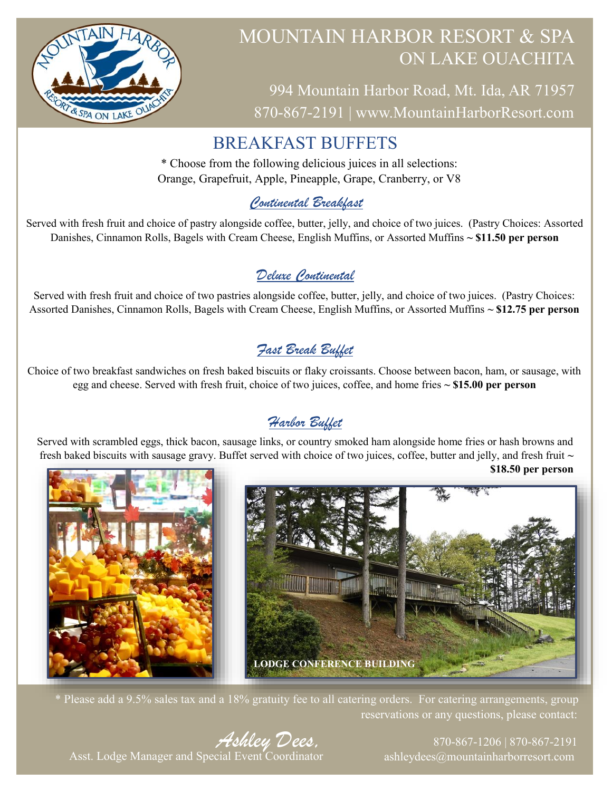

994 Mountain Harbor Road, Mt. Ida, AR 71957 870-867-2191 | www.MountainHarborResort.com

## BREAKFAST BUFFETS

\* Choose from the following delicious juices in all selections: Orange, Grapefruit, Apple, Pineapple, Grape, Cranberry, or V8

#### *Continental Breakfast*

Served with fresh fruit and choice of pastry alongside coffee, butter, jelly, and choice of two juices. (Pastry Choices: Assorted Danishes, Cinnamon Rolls, Bagels with Cream Cheese, English Muffins, or Assorted Muffins **~ \$11.50 per person**

#### *Deluxe Continental*

Served with fresh fruit and choice of two pastries alongside coffee, butter, jelly, and choice of two juices. (Pastry Choices: Assorted Danishes, Cinnamon Rolls, Bagels with Cream Cheese, English Muffins, or Assorted Muffins **~ \$12.75 per person**

## *Fast Break Buffet*

Choice of two breakfast sandwiches on fresh baked biscuits or flaky croissants. Choose between bacon, ham, or sausage, with egg and cheese. Served with fresh fruit, choice of two juices, coffee, and home fries **~ \$15.00 per person**

## *Harbor Buffet*

Served with scrambled eggs, thick bacon, sausage links, or country smoked ham alongside home fries or hash browns and fresh baked biscuits with sausage gravy. Buffet served with choice of two juices, coffee, butter and jelly, and fresh fruit **~** 



\* Please add a 9.5% sales tax and a 18% gratuity fee to all catering orders. For catering arrangements, group reservations or any questions, please contact:

*Ashley Dees,* Asst. Lodge Manager and Special Event Coordinator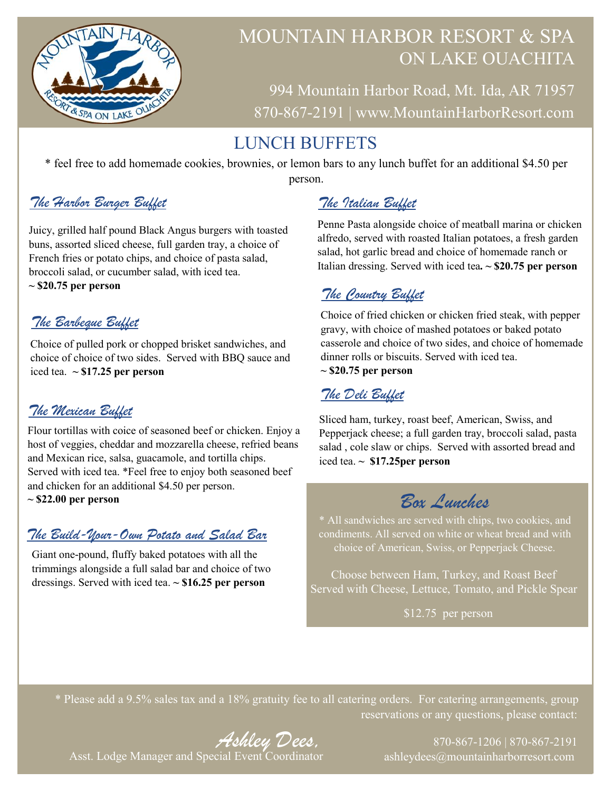

994 Mountain Harbor Road, Mt. Ida, AR 71957 870-867-2191 | www.MountainHarborResort.com

# LUNCH BUFFETS

\* feel free to add homemade cookies, brownies, or lemon bars to any lunch buffet for an additional \$4.50 per person.

#### *The Harbor Burger Buffet*

Juicy, grilled half pound Black Angus burgers with toasted buns, assorted sliced cheese, full garden tray, a choice of French fries or potato chips, and choice of pasta salad, broccoli salad, or cucumber salad, with iced tea.

**~ \$20.75 per person**

#### *The Barbeque Buffet*

Choice of pulled pork or chopped brisket sandwiches, and choice of choice of two sides. Served with BBQ sauce and iced tea. **~ \$17.25 per person**

#### *The Mexican Buffet*

Flour tortillas with coice of seasoned beef or chicken. Enjoy a host of veggies, cheddar and mozzarella cheese, refried beans and Mexican rice, salsa, guacamole, and tortilla chips. Served with iced tea. \*Feel free to enjoy both seasoned beef and chicken for an additional \$4.50 per person.

**~ \$22.00 per person**

#### *The Build-Your-Own Potato and Salad Bar*

Giant one-pound, fluffy baked potatoes with all the trimmings alongside a full salad bar and choice of two dressings. Served with iced tea. **~ \$16.25 per person**

## *The Italian Buffet*

Penne Pasta alongside choice of meatball marina or chicken alfredo, served with roasted Italian potatoes, a fresh garden salad, hot garlic bread and choice of homemade ranch or Italian dressing. Served with iced tea**. ~ \$20.75 per person**

#### *The Country Buffet*

Choice of fried chicken or chicken fried steak, with pepper gravy, with choice of mashed potatoes or baked potato casserole and choice of two sides, and choice of homemade dinner rolls or biscuits. Served with iced tea. **~ \$20.75 per person**

#### *The Deli Buffet*

Sliced ham, turkey, roast beef, American, Swiss, and Pepperjack cheese; a full garden tray, broccoli salad, pasta salad , cole slaw or chips. Served with assorted bread and iced tea. **~ \$17.25per person**

# *Box Lunches*

\* All sandwiches are served with chips, two cookies, and condiments. All served on white or wheat bread and with choice of American, Swiss, or Pepperjack Cheese.

Choose between Ham, Turkey, and Roast Beef Served with Cheese, Lettuce, Tomato, and Pickle Spear

\$12.75 per person

\* Please add a 9.5% sales tax and a 18% gratuity fee to all catering orders. For catering arrangements, group reservations or any questions, please contact:

*Ashley Dees,* Asst. Lodge Manager and Special Event Coordinator